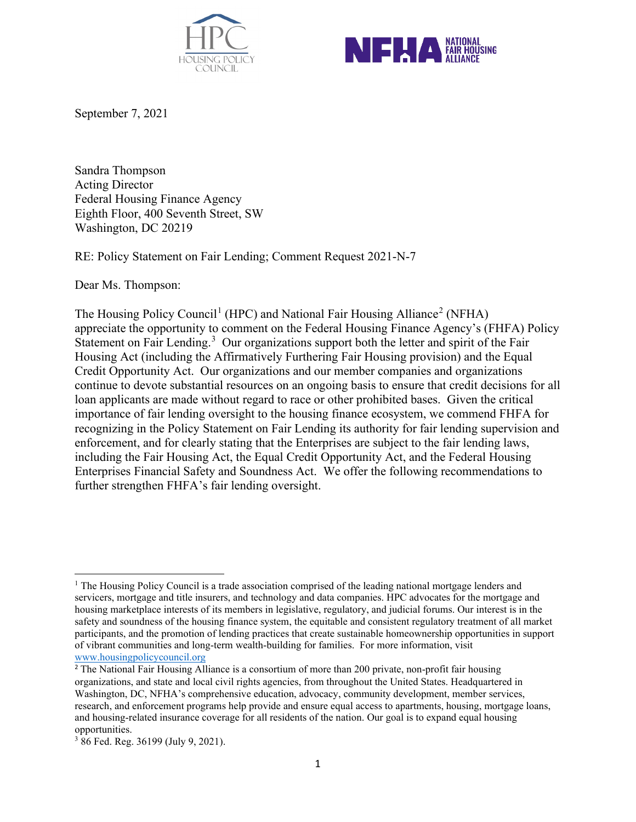



September 7, 2021

Sandra Thompson Acting Director Federal Housing Finance Agency Eighth Floor, 400 Seventh Street, SW Washington, DC 20219

RE: Policy Statement on Fair Lending; Comment Request 2021-N-7

Dear Ms. Thompson:

The Housing Policy Council<sup>[1](#page-0-0)</sup> (HPC) and National Fair Housing Alliance<sup>[2](#page-0-1)</sup> (NFHA) appreciate the opportunity to comment on the Federal Housing Finance Agency's (FHFA) Policy Statement on Fair Lending.<sup>[3](#page-0-2)</sup> Our organizations support both the letter and spirit of the Fair Housing Act (including the Affirmatively Furthering Fair Housing provision) and the Equal Credit Opportunity Act. Our organizations and our member companies and organizations continue to devote substantial resources on an ongoing basis to ensure that credit decisions for all loan applicants are made without regard to race or other prohibited bases. Given the critical importance of fair lending oversight to the housing finance ecosystem, we commend FHFA for recognizing in the Policy Statement on Fair Lending its authority for fair lending supervision and enforcement, and for clearly stating that the Enterprises are subject to the fair lending laws, including the Fair Housing Act, the Equal Credit Opportunity Act, and the Federal Housing Enterprises Financial Safety and Soundness Act. We offer the following recommendations to further strengthen FHFA's fair lending oversight.

<span id="page-0-0"></span><sup>&</sup>lt;sup>1</sup> The Housing Policy Council is a trade association comprised of the leading national mortgage lenders and servicers, mortgage and title insurers, and technology and data companies. HPC advocates for the mortgage and housing marketplace interests of its members in legislative, regulatory, and judicial forums. Our interest is in the safety and soundness of the housing finance system, the equitable and consistent regulatory treatment of all market participants, and the promotion of lending practices that create sustainable homeownership opportunities in support of vibrant communities and long-term wealth-building for families. For more information, visit [www.housingpolicycouncil.org](http://www.housingpolicycouncil.org/)

<span id="page-0-1"></span><sup>&</sup>lt;sup>2</sup> The National Fair Housing Alliance is a consortium of more than 200 private, non-profit fair housing organizations, and state and local civil rights agencies, from throughout the United States. Headquartered in Washington, DC, NFHA's comprehensive education, advocacy, community development, member services, research, and enforcement programs help provide and ensure equal access to apartments, housing, mortgage loans, and housing-related insurance coverage for all residents of the nation. Our goal is to expand equal housing opportunities.

<span id="page-0-2"></span><sup>3</sup> 86 Fed. Reg. 36199 (July 9, 2021).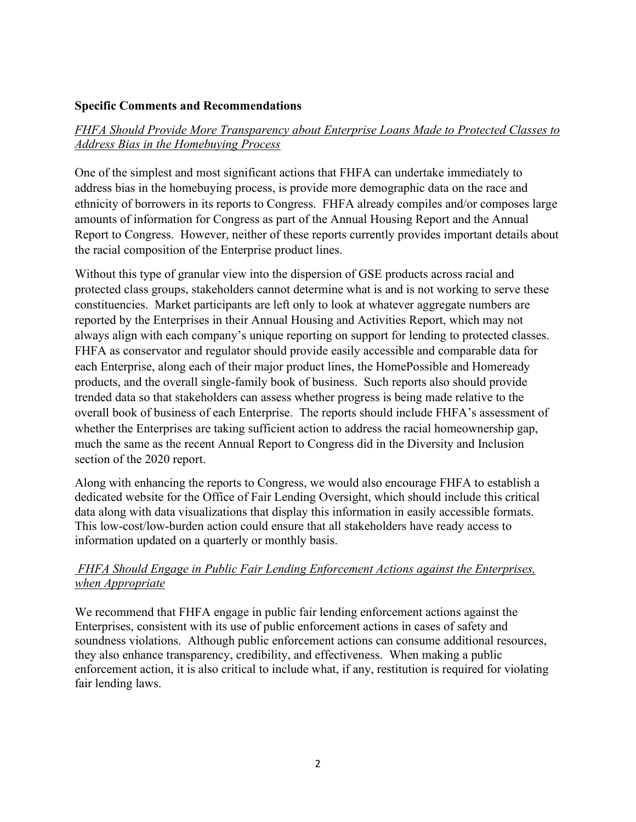#### **Specific Comments and Recommendations**

## *FHFA Should Provide More Transparency about Enterprise Loans Made to Protected Classes to Address Bias in the Homebuying Process*

One of the simplest and most significant actions that FHFA can undertake immediately to address bias in the homebuying process, is provide more demographic data on the race and ethnicity of borrowers in its reports to Congress. FHFA already compiles and/or composes large amounts of information for Congress as part of the Annual Housing Report and the Annual Report to Congress. However, neither of these reports currently provides important details about the racial composition of the Enterprise product lines.

Without this type of granular view into the dispersion of GSE products across racial and protected class groups, stakeholders cannot determine what is and is not working to serve these constituencies. Market participants are left only to look at whatever aggregate numbers are reported by the Enterprises in their Annual Housing and Activities Report, which may not always align with each company's unique reporting on support for lending to protected classes. FHFA as conservator and regulator should provide easily accessible and comparable data for each Enterprise, along each of their major product lines, the HomePossible and Homeready products, and the overall single-family book of business. Such reports also should provide trended data so that stakeholders can assess whether progress is being made relative to the overall book of business of each Enterprise. The reports should include FHFA's assessment of whether the Enterprises are taking sufficient action to address the racial homeownership gap, much the same as the recent Annual Report to Congress did in the Diversity and Inclusion section of the 2020 report.

Along with enhancing the reports to Congress, we would also encourage FHFA to establish a dedicated website for the Office of Fair Lending Oversight, which should include this critical data along with data visualizations that display this information in easily accessible formats. This low-cost/low-burden action could ensure that all stakeholders have ready access to information updated on a quarterly or monthly basis.

## *FHFA Should Engage in Public Fair Lending Enforcement Actions against the Enterprises, when Appropriate*

We recommend that FHFA engage in public fair lending enforcement actions against the Enterprises, consistent with its use of public enforcement actions in cases of safety and soundness violations. Although public enforcement actions can consume additional resources, they also enhance transparency, credibility, and effectiveness. When making a public enforcement action, it is also critical to include what, if any, restitution is required for violating fair lending laws.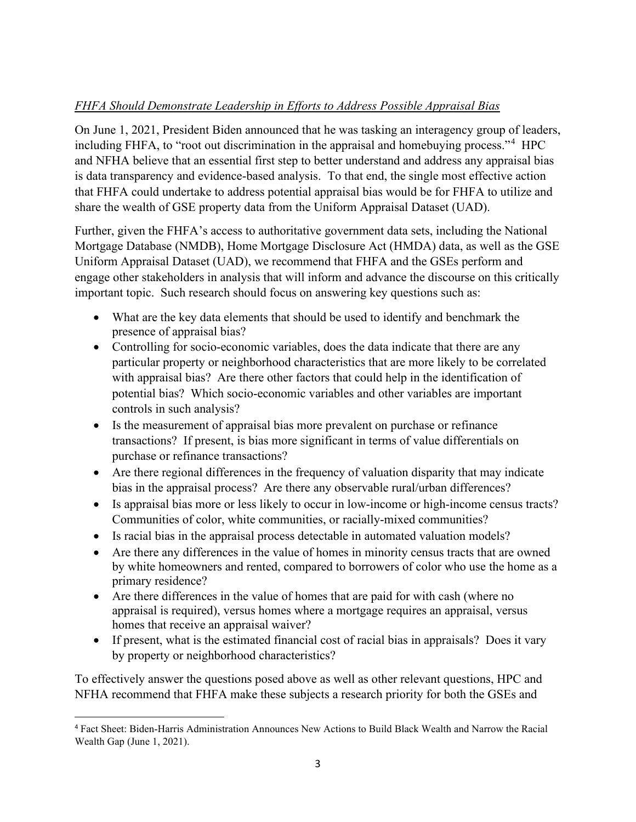# *FHFA Should Demonstrate Leadership in Efforts to Address Possible Appraisal Bias*

On June 1, 2021, President Biden announced that he was tasking an interagency group of leaders, including FHFA, to "root out discrimination in the appraisal and homebuying process."<sup>[4](#page-2-0)</sup> HPC and NFHA believe that an essential first step to better understand and address any appraisal bias is data transparency and evidence-based analysis. To that end, the single most effective action that FHFA could undertake to address potential appraisal bias would be for FHFA to utilize and share the wealth of GSE property data from the Uniform Appraisal Dataset (UAD).

Further, given the FHFA's access to authoritative government data sets, including the National Mortgage Database (NMDB), Home Mortgage Disclosure Act (HMDA) data, as well as the GSE Uniform Appraisal Dataset (UAD), we recommend that FHFA and the GSEs perform and engage other stakeholders in analysis that will inform and advance the discourse on this critically important topic. Such research should focus on answering key questions such as:

- What are the key data elements that should be used to identify and benchmark the presence of appraisal bias?
- Controlling for socio-economic variables, does the data indicate that there are any particular property or neighborhood characteristics that are more likely to be correlated with appraisal bias? Are there other factors that could help in the identification of potential bias? Which socio-economic variables and other variables are important controls in such analysis?
- Is the measurement of appraisal bias more prevalent on purchase or refinance transactions? If present, is bias more significant in terms of value differentials on purchase or refinance transactions?
- Are there regional differences in the frequency of valuation disparity that may indicate bias in the appraisal process? Are there any observable rural/urban differences?
- Is appraisal bias more or less likely to occur in low-income or high-income census tracts? Communities of color, white communities, or racially-mixed communities?
- Is racial bias in the appraisal process detectable in automated valuation models?
- Are there any differences in the value of homes in minority census tracts that are owned by white homeowners and rented, compared to borrowers of color who use the home as a primary residence?
- Are there differences in the value of homes that are paid for with cash (where no appraisal is required), versus homes where a mortgage requires an appraisal, versus homes that receive an appraisal waiver?
- If present, what is the estimated financial cost of racial bias in appraisals? Does it vary by property or neighborhood characteristics?

To effectively answer the questions posed above as well as other relevant questions, HPC and NFHA recommend that FHFA make these subjects a research priority for both the GSEs and

<span id="page-2-0"></span><sup>4</sup> Fact Sheet: Biden-Harris Administration Announces New Actions to Build Black Wealth and Narrow the Racial Wealth Gap (June 1, 2021).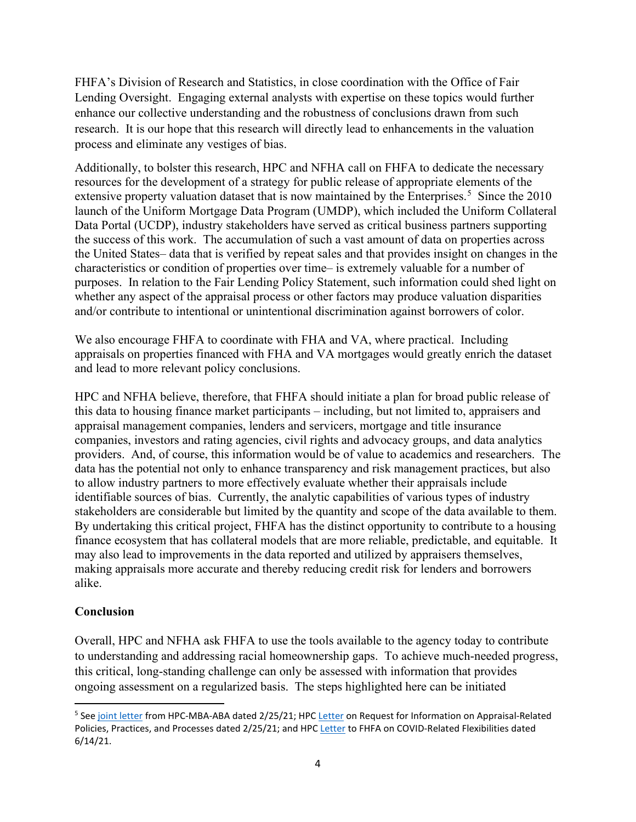FHFA's Division of Research and Statistics, in close coordination with the Office of Fair Lending Oversight. Engaging external analysts with expertise on these topics would further enhance our collective understanding and the robustness of conclusions drawn from such research. It is our hope that this research will directly lead to enhancements in the valuation process and eliminate any vestiges of bias.

Additionally, to bolster this research, HPC and NFHA call on FHFA to dedicate the necessary resources for the development of a strategy for public release of appropriate elements of the extensive property valuation dataset that is now maintained by the Enterprises.<sup>[5](#page-3-0)</sup> Since the  $2010$ launch of the Uniform Mortgage Data Program (UMDP), which included the Uniform Collateral Data Portal (UCDP), industry stakeholders have served as critical business partners supporting the success of this work. The accumulation of such a vast amount of data on properties across the United States– data that is verified by repeat sales and that provides insight on changes in the characteristics or condition of properties over time– is extremely valuable for a number of purposes. In relation to the Fair Lending Policy Statement, such information could shed light on whether any aspect of the appraisal process or other factors may produce valuation disparities and/or contribute to intentional or unintentional discrimination against borrowers of color.

We also encourage FHFA to coordinate with FHA and VA, where practical. Including appraisals on properties financed with FHA and VA mortgages would greatly enrich the dataset and lead to more relevant policy conclusions.

HPC and NFHA believe, therefore, that FHFA should initiate a plan for broad public release of this data to housing finance market participants – including, but not limited to, appraisers and appraisal management companies, lenders and servicers, mortgage and title insurance companies, investors and rating agencies, civil rights and advocacy groups, and data analytics providers. And, of course, this information would be of value to academics and researchers. The data has the potential not only to enhance transparency and risk management practices, but also to allow industry partners to more effectively evaluate whether their appraisals include identifiable sources of bias. Currently, the analytic capabilities of various types of industry stakeholders are considerable but limited by the quantity and scope of the data available to them. By undertaking this critical project, FHFA has the distinct opportunity to contribute to a housing finance ecosystem that has collateral models that are more reliable, predictable, and equitable. It may also lead to improvements in the data reported and utilized by appraisers themselves, making appraisals more accurate and thereby reducing credit risk for lenders and borrowers alike.

#### **Conclusion**

Overall, HPC and NFHA ask FHFA to use the tools available to the agency today to contribute to understanding and addressing racial homeownership gaps. To achieve much-needed progress, this critical, long-standing challenge can only be assessed with information that provides ongoing assessment on a regularized basis. The steps highlighted here can be initiated

<span id="page-3-0"></span><sup>&</sup>lt;sup>5</sup> See [joint letter](https://fbb0ab68-1668-4db6-9365-051035190b71.filesusr.com/ugd/d315af_ee08047681fb44d18a9d17631cfe2354.pdf) from HPC-MBA-ABA dated 2/25/21; HP[C Letter](https://fbb0ab68-1668-4db6-9365-051035190b71.filesusr.com/ugd/d315af_de45ebe0b6734389a7d9975ae618d358.pdf) on Request for Information on Appraisal-Related Policies, Practices, and Processes dated 2/25/21; and HP[C Letter](https://fbb0ab68-1668-4db6-9365-051035190b71.filesusr.com/ugd/d315af_c5fb504911904b40b1a6021eac0bec6d.pdf) to FHFA on COVID-Related Flexibilities dated 6/14/21.